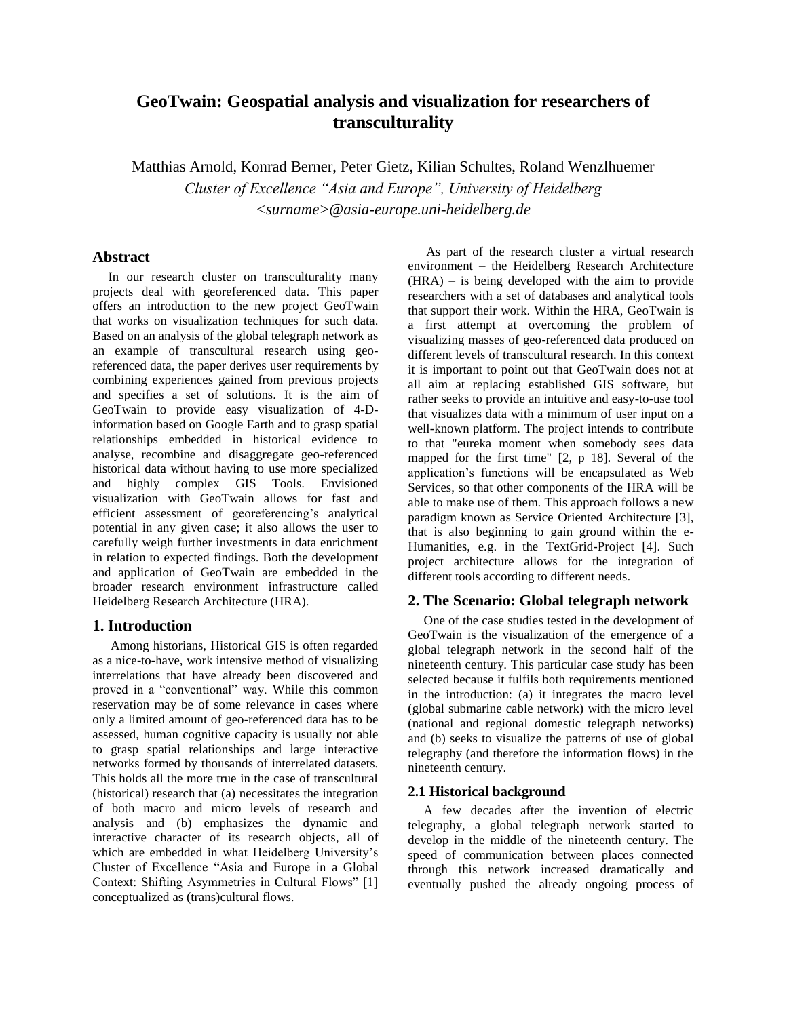# **GeoTwain: Geospatial analysis and visualization for researchers of transculturality**

Matthias Arnold, Konrad Berner, Peter Gietz, Kilian Schultes, Roland Wenzlhuemer *Cluster of Excellence "Asia and Europe", University of Heidelberg <surname>@asia-europe.uni-heidelberg.de*

### **Abstract**

In our research cluster on transculturality many projects deal with georeferenced data. This paper offers an introduction to the new project GeoTwain that works on visualization techniques for such data. Based on an analysis of the global telegraph network as an example of transcultural research using georeferenced data, the paper derives user requirements by combining experiences gained from previous projects and specifies a set of solutions. It is the aim of GeoTwain to provide easy visualization of 4-Dinformation based on Google Earth and to grasp spatial relationships embedded in historical evidence to analyse, recombine and disaggregate geo-referenced historical data without having to use more specialized and highly complex GIS Tools. Envisioned visualization with GeoTwain allows for fast and efficient assessment of georeferencing's analytical potential in any given case; it also allows the user to carefully weigh further investments in data enrichment in relation to expected findings. Both the development and application of GeoTwain are embedded in the broader research environment infrastructure called Heidelberg Research Architecture (HRA).

#### **1. Introduction**

Among historians, Historical GIS is often regarded as a nice-to-have, work intensive method of visualizing interrelations that have already been discovered and proved in a "conventional" way. While this common reservation may be of some relevance in cases where only a limited amount of geo-referenced data has to be assessed, human cognitive capacity is usually not able to grasp spatial relationships and large interactive networks formed by thousands of interrelated datasets. This holds all the more true in the case of transcultural (historical) research that (a) necessitates the integration of both macro and micro levels of research and analysis and (b) emphasizes the dynamic and interactive character of its research objects, all of which are embedded in what Heidelberg University's Cluster of Excellence "Asia and Europe in a Global Context: Shifting Asymmetries in Cultural Flows" [1] conceptualized as (trans)cultural flows.

As part of the research cluster a virtual research environment – the Heidelberg Research Architecture (HRA) – is being developed with the aim to provide researchers with a set of databases and analytical tools that support their work. Within the HRA, GeoTwain is a first attempt at overcoming the problem of visualizing masses of geo-referenced data produced on different levels of transcultural research. In this context it is important to point out that GeoTwain does not at all aim at replacing established GIS software, but rather seeks to provide an intuitive and easy-to-use tool that visualizes data with a minimum of user input on a well-known platform. The project intends to contribute to that "eureka moment when somebody sees data mapped for the first time" [2, p 18]*.* Several of the application's functions will be encapsulated as Web Services, so that other components of the HRA will be able to make use of them. This approach follows a new paradigm known as Service Oriented Architecture [3], that is also beginning to gain ground within the e-Humanities, e.g. in the TextGrid-Project [4]. Such project architecture allows for the integration of different tools according to different needs.

## **2. The Scenario: Global telegraph network**

One of the case studies tested in the development of GeoTwain is the visualization of the emergence of a global telegraph network in the second half of the nineteenth century. This particular case study has been selected because it fulfils both requirements mentioned in the introduction: (a) it integrates the macro level (global submarine cable network) with the micro level (national and regional domestic telegraph networks) and (b) seeks to visualize the patterns of use of global telegraphy (and therefore the information flows) in the nineteenth century.

#### **2.1 Historical background**

A few decades after the invention of electric telegraphy, a global telegraph network started to develop in the middle of the nineteenth century. The speed of communication between places connected through this network increased dramatically and eventually pushed the already ongoing process of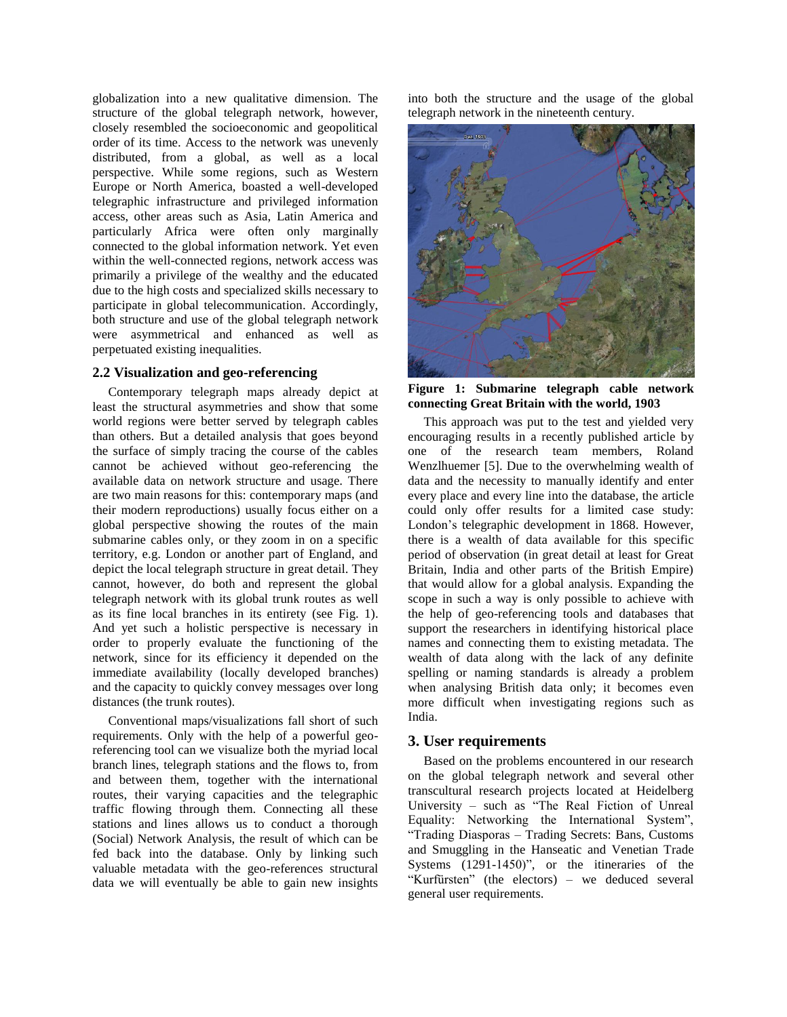globalization into a new qualitative dimension. The structure of the global telegraph network, however, closely resembled the socioeconomic and geopolitical order of its time. Access to the network was unevenly distributed, from a global, as well as a local perspective. While some regions, such as Western Europe or North America, boasted a well-developed telegraphic infrastructure and privileged information access, other areas such as Asia, Latin America and particularly Africa were often only marginally connected to the global information network. Yet even within the well-connected regions, network access was primarily a privilege of the wealthy and the educated due to the high costs and specialized skills necessary to participate in global telecommunication. Accordingly, both structure and use of the global telegraph network were asymmetrical and enhanced as well as perpetuated existing inequalities.

#### **2.2 Visualization and geo-referencing**

Contemporary telegraph maps already depict at least the structural asymmetries and show that some world regions were better served by telegraph cables than others. But a detailed analysis that goes beyond the surface of simply tracing the course of the cables cannot be achieved without geo-referencing the available data on network structure and usage. There are two main reasons for this: contemporary maps (and their modern reproductions) usually focus either on a global perspective showing the routes of the main submarine cables only, or they zoom in on a specific territory, e.g. London or another part of England, and depict the local telegraph structure in great detail. They cannot, however, do both and represent the global telegraph network with its global trunk routes as well as its fine local branches in its entirety (see Fig. 1). And yet such a holistic perspective is necessary in order to properly evaluate the functioning of the network, since for its efficiency it depended on the immediate availability (locally developed branches) and the capacity to quickly convey messages over long distances (the trunk routes).

Conventional maps/visualizations fall short of such requirements. Only with the help of a powerful georeferencing tool can we visualize both the myriad local branch lines, telegraph stations and the flows to, from and between them, together with the international routes, their varying capacities and the telegraphic traffic flowing through them. Connecting all these stations and lines allows us to conduct a thorough (Social) Network Analysis, the result of which can be fed back into the database. Only by linking such valuable metadata with the geo-references structural data we will eventually be able to gain new insights into both the structure and the usage of the global telegraph network in the nineteenth century.



**Figure 1: Submarine telegraph cable network connecting Great Britain with the world, 1903**

This approach was put to the test and yielded very encouraging results in a recently published article by one of the research team members, Roland Wenzlhuemer [5]. Due to the overwhelming wealth of data and the necessity to manually identify and enter every place and every line into the database, the article could only offer results for a limited case study: London's telegraphic development in 1868. However, there is a wealth of data available for this specific period of observation (in great detail at least for Great Britain, India and other parts of the British Empire) that would allow for a global analysis. Expanding the scope in such a way is only possible to achieve with the help of geo-referencing tools and databases that support the researchers in identifying historical place names and connecting them to existing metadata. The wealth of data along with the lack of any definite spelling or naming standards is already a problem when analysing British data only; it becomes even more difficult when investigating regions such as India.

#### **3. User requirements**

Based on the problems encountered in our research on the global telegraph network and several other transcultural research projects located at Heidelberg University – such as "The Real Fiction of Unreal Equality: Networking the International System", "Trading Diasporas – Trading Secrets: Bans, Customs and Smuggling in the Hanseatic and Venetian Trade Systems (1291-1450)", or the itineraries of the "Kurfürsten" (the electors) – we deduced several general user requirements.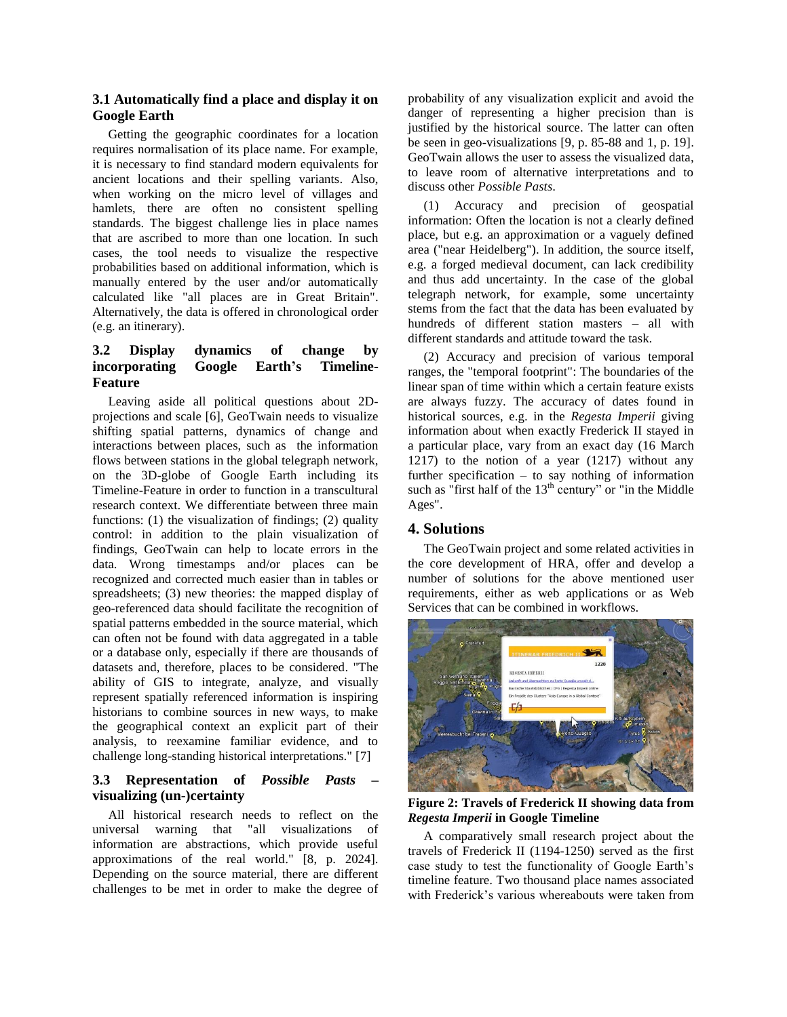#### **3.1 Automatically find a place and display it on Google Earth**

Getting the geographic coordinates for a location requires normalisation of its place name. For example, it is necessary to find standard modern equivalents for ancient locations and their spelling variants. Also, when working on the micro level of villages and hamlets, there are often no consistent spelling standards. The biggest challenge lies in place names that are ascribed to more than one location. In such cases, the tool needs to visualize the respective probabilities based on additional information, which is manually entered by the user and/or automatically calculated like "all places are in Great Britain". Alternatively, the data is offered in chronological order (e.g. an itinerary).

### **3.2 Display dynamics of change by incorporating Google Earth's Timeline-Feature**

Leaving aside all political questions about 2Dprojections and scale [6], GeoTwain needs to visualize shifting spatial patterns, dynamics of change and interactions between places, such as the information flows between stations in the global telegraph network, on the 3D-globe of Google Earth including its Timeline-Feature in order to function in a transcultural research context. We differentiate between three main functions: (1) the visualization of findings; (2) quality control: in addition to the plain visualization of findings, GeoTwain can help to locate errors in the data. Wrong timestamps and/or places can be recognized and corrected much easier than in tables or spreadsheets; (3) new theories: the mapped display of geo-referenced data should facilitate the recognition of spatial patterns embedded in the source material, which can often not be found with data aggregated in a table or a database only, especially if there are thousands of datasets and, therefore, places to be considered. "The ability of GIS to integrate, analyze, and visually represent spatially referenced information is inspiring historians to combine sources in new ways, to make the geographical context an explicit part of their analysis, to reexamine familiar evidence, and to challenge long-standing historical interpretations." [7]

### **3.3 Representation of** *Possible Pasts* **– visualizing (un-)certainty**

All historical research needs to reflect on the universal warning that "all visualizations of information are abstractions, which provide useful approximations of the real world." [8, p. 2024]. Depending on the source material, there are different challenges to be met in order to make the degree of

probability of any visualization explicit and avoid the danger of representing a higher precision than is justified by the historical source. The latter can often be seen in geo-visualizations [9, p. 85-88 and 1, p. 19]. GeoTwain allows the user to assess the visualized data, to leave room of alternative interpretations and to discuss other *Possible Pasts*.

(1) Accuracy and precision of geospatial information: Often the location is not a clearly defined place, but e.g. an approximation or a vaguely defined area ("near Heidelberg"). In addition, the source itself, e.g. a forged medieval document, can lack credibility and thus add uncertainty. In the case of the global telegraph network, for example, some uncertainty stems from the fact that the data has been evaluated by hundreds of different station masters – all with different standards and attitude toward the task.

(2) Accuracy and precision of various temporal ranges, the "temporal footprint": The boundaries of the linear span of time within which a certain feature exists are always fuzzy. The accuracy of dates found in historical sources, e.g. in the *Regesta Imperii* giving information about when exactly Frederick II stayed in a particular place, vary from an exact day (16 March 1217) to the notion of a year (1217) without any further specification – to say nothing of information such as "first half of the  $13<sup>th</sup>$  century" or "in the Middle Ages".

### **4. Solutions**

The GeoTwain project and some related activities in the core development of HRA, offer and develop a number of solutions for the above mentioned user requirements, either as web applications or as Web Services that can be combined in workflows.



**Figure 2: Travels of Frederick II showing data from**  *Regesta Imperii* **in Google Timeline**

A comparatively small research project about the travels of Frederick II (1194-1250) served as the first case study to test the functionality of Google Earth's timeline feature. Two thousand place names associated with Frederick's various whereabouts were taken from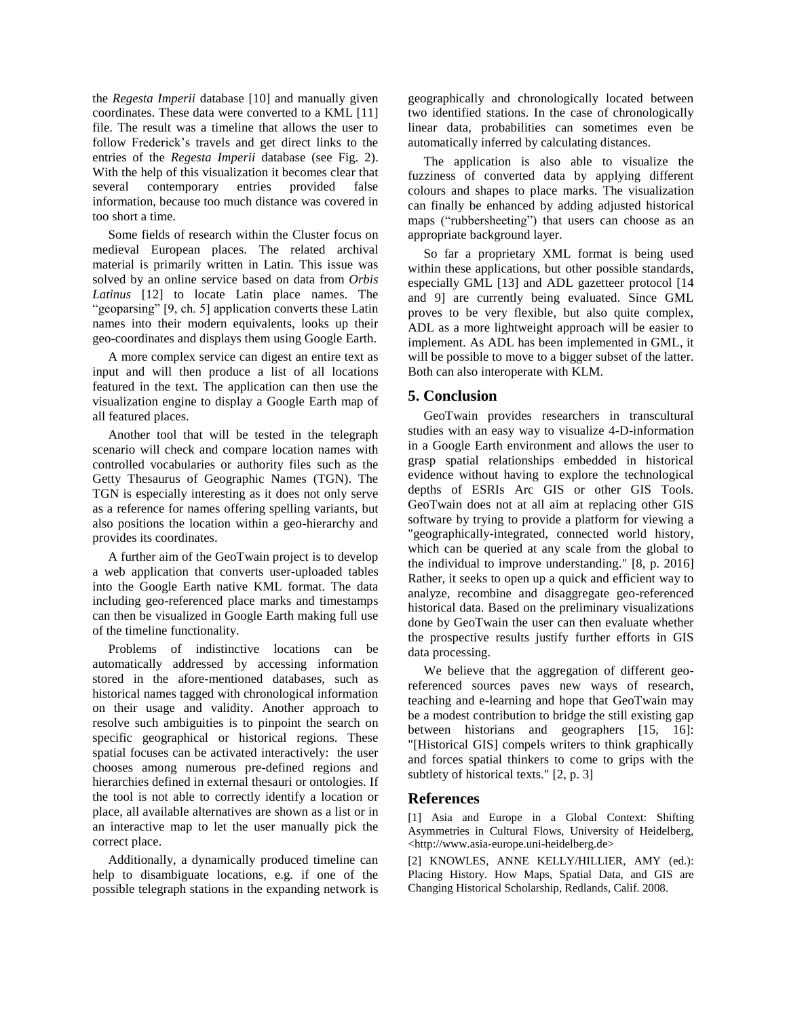the *Regesta Imperii* database [10] and manually given coordinates. These data were converted to a KML [11] file. The result was a timeline that allows the user to follow Frederick's travels and get direct links to the entries of the *Regesta Imperii* database (see Fig. 2). With the help of this visualization it becomes clear that several contemporary entries provided false information, because too much distance was covered in too short a time.

Some fields of research within the Cluster focus on medieval European places. The related archival material is primarily written in Latin. This issue was solved by an online service based on data from *Orbis Latinus* [12] to locate Latin place names. The "geoparsing" [9, ch. 5] application converts these Latin names into their modern equivalents, looks up their geo-coordinates and displays them using Google Earth.

A more complex service can digest an entire text as input and will then produce a list of all locations featured in the text. The application can then use the visualization engine to display a Google Earth map of all featured places.

Another tool that will be tested in the telegraph scenario will check and compare location names with controlled vocabularies or authority files such as the Getty Thesaurus of Geographic Names (TGN). The TGN is especially interesting as it does not only serve as a reference for names offering spelling variants, but also positions the location within a geo-hierarchy and provides its coordinates.

A further aim of the GeoTwain project is to develop a web application that converts user-uploaded tables into the Google Earth native KML format. The data including geo-referenced place marks and timestamps can then be visualized in Google Earth making full use of the timeline functionality.

Problems of indistinctive locations can be automatically addressed by accessing information stored in the afore-mentioned databases, such as historical names tagged with chronological information on their usage and validity. Another approach to resolve such ambiguities is to pinpoint the search on specific geographical or historical regions. These spatial focuses can be activated interactively: the user chooses among numerous pre-defined regions and hierarchies defined in external thesauri or ontologies. If the tool is not able to correctly identify a location or place, all available alternatives are shown as a list or in an interactive map to let the user manually pick the correct place.

Additionally, a dynamically produced timeline can help to disambiguate locations, e.g. if one of the possible telegraph stations in the expanding network is

geographically and chronologically located between two identified stations. In the case of chronologically linear data, probabilities can sometimes even be automatically inferred by calculating distances.

The application is also able to visualize the fuzziness of converted data by applying different colours and shapes to place marks. The visualization can finally be enhanced by adding adjusted historical maps ("rubbersheeting") that users can choose as an appropriate background layer.

So far a proprietary XML format is being used within these applications, but other possible standards, especially GML [13] and ADL gazetteer protocol [14 and 9] are currently being evaluated. Since GML proves to be very flexible, but also quite complex, ADL as a more lightweight approach will be easier to implement. As ADL has been implemented in GML, it will be possible to move to a bigger subset of the latter. Both can also interoperate with KLM.

#### **5. Conclusion**

GeoTwain provides researchers in transcultural studies with an easy way to visualize 4-D-information in a Google Earth environment and allows the user to grasp spatial relationships embedded in historical evidence without having to explore the technological depths of ESRIs Arc GIS or other GIS Tools. GeoTwain does not at all aim at replacing other GIS software by trying to provide a platform for viewing a "geographically-integrated, connected world history, which can be queried at any scale from the global to the individual to improve understanding." [8, p. 2016] Rather, it seeks to open up a quick and efficient way to analyze, recombine and disaggregate geo-referenced historical data. Based on the preliminary visualizations done by GeoTwain the user can then evaluate whether the prospective results justify further efforts in GIS data processing.

We believe that the aggregation of different georeferenced sources paves new ways of research, teaching and e-learning and hope that GeoTwain may be a modest contribution to bridge the still existing gap between historians and geographers [15, 16]: "[Historical GIS] compels writers to think graphically and forces spatial thinkers to come to grips with the subtlety of historical texts." [2, p. 3]

### **References**

[1] Asia and Europe in a Global Context: Shifting Asymmetries in Cultural Flows, University of Heidelberg, <http://www.asia-europe.uni-heidelberg.de>

[2] KNOWLES, ANNE KELLY/HILLIER, AMY (ed.): Placing History. How Maps, Spatial Data, and GIS are Changing Historical Scholarship, Redlands, Calif. 2008.